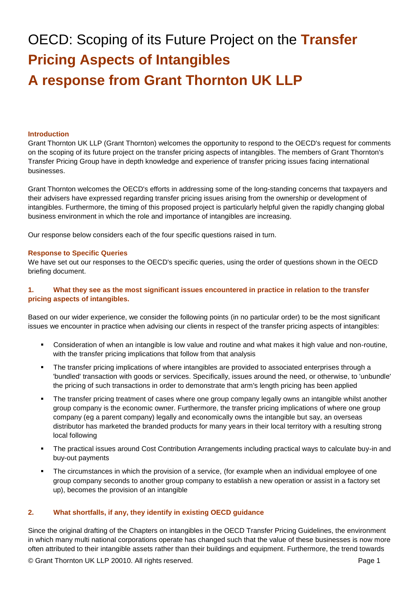# OECD: Scoping of its Future Project on the **Transfer Pricing Aspects of Intangibles A response from Grant Thornton UK LLP**

#### **Introduction**

Grant Thornton UK LLP (Grant Thornton) welcomes the opportunity to respond to the OECD's request for comments on the scoping of its future project on the transfer pricing aspects of intangibles. The members of Grant Thornton's Transfer Pricing Group have in depth knowledge and experience of transfer pricing issues facing international businesses.

Grant Thornton welcomes the OECD's efforts in addressing some of the long-standing concerns that taxpayers and their advisers have expressed regarding transfer pricing issues arising from the ownership or development of intangibles. Furthermore, the timing of this proposed project is particularly helpful given the rapidly changing global business environment in which the role and importance of intangibles are increasing.

Our response below considers each of the four specific questions raised in turn.

#### **Response to Specific Queries**

We have set out our responses to the OECD's specific queries, using the order of questions shown in the OECD briefing document.

## **1. What they see as the most significant issues encountered in practice in relation to the transfer pricing aspects of intangibles.**

Based on our wider experience, we consider the following points (in no particular order) to be the most significant issues we encounter in practice when advising our clients in respect of the transfer pricing aspects of intangibles:

- Consideration of when an intangible is low value and routine and what makes it high value and non-routine, with the transfer pricing implications that follow from that analysis
- The transfer pricing implications of where intangibles are provided to associated enterprises through a 'bundled' transaction with goods or services. Specifically, issues around the need, or otherwise, to 'unbundle' the pricing of such transactions in order to demonstrate that arm's length pricing has been applied
- The transfer pricing treatment of cases where one group company legally owns an intangible whilst another group company is the economic owner. Furthermore, the transfer pricing implications of where one group company (eg a parent company) legally and economically owns the intangible but say, an overseas distributor has marketed the branded products for many years in their local territory with a resulting strong local following
- The practical issues around Cost Contribution Arrangements including practical ways to calculate buy-in and buy-out payments
- The circumstances in which the provision of a service, (for example when an individual employee of one group company seconds to another group company to establish a new operation or assist in a factory set up), becomes the provision of an intangible

#### **2. What shortfalls, if any, they identify in existing OECD guidance**

Since the original drafting of the Chapters on intangibles in the OECD Transfer Pricing Guidelines, the environment in which many multi national corporations operate has changed such that the value of these businesses is now more often attributed to their intangible assets rather than their buildings and equipment. Furthermore, the trend towards

© Grant Thornton UK LLP 20010. All rights reserved. **Page 1** Page 1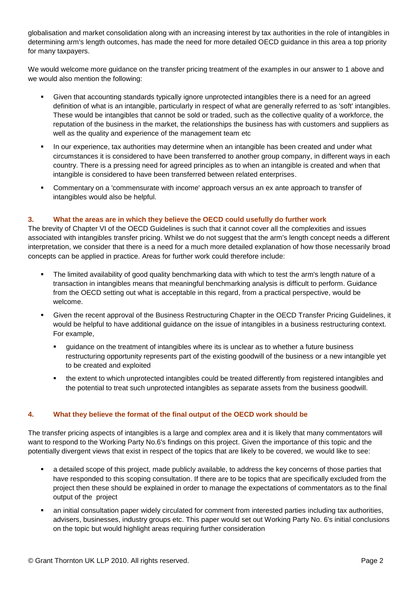globalisation and market consolidation along with an increasing interest by tax authorities in the role of intangibles in determining arm's length outcomes, has made the need for more detailed OECD guidance in this area a top priority for many taxpayers.

We would welcome more guidance on the transfer pricing treatment of the examples in our answer to 1 above and we would also mention the following:

- Given that accounting standards typically ignore unprotected intangibles there is a need for an agreed definition of what is an intangible, particularly in respect of what are generally referred to as 'soft' intangibles. These would be intangibles that cannot be sold or traded, such as the collective quality of a workforce, the reputation of the business in the market, the relationships the business has with customers and suppliers as well as the quality and experience of the management team etc
- In our experience, tax authorities may determine when an intangible has been created and under what circumstances it is considered to have been transferred to another group company, in different ways in each country. There is a pressing need for agreed principles as to when an intangible is created and when that intangible is considered to have been transferred between related enterprises.
- Commentary on a 'commensurate with income' approach versus an ex ante approach to transfer of intangibles would also be helpful.

### **3. What the areas are in which they believe the OECD could usefully do further work**

The brevity of Chapter VI of the OECD Guidelines is such that it cannot cover all the complexities and issues associated with intangibles transfer pricing. Whilst we do not suggest that the arm's length concept needs a different interpretation, we consider that there is a need for a much more detailed explanation of how those necessarily broad concepts can be applied in practice. Areas for further work could therefore include:

- The limited availability of good quality benchmarking data with which to test the arm's length nature of a transaction in intangibles means that meaningful benchmarking analysis is difficult to perform. Guidance from the OECD setting out what is acceptable in this regard, from a practical perspective, would be welcome.
- Given the recent approval of the Business Restructuring Chapter in the OECD Transfer Pricing Guidelines, it would be helpful to have additional guidance on the issue of intangibles in a business restructuring context. For example,
	- guidance on the treatment of intangibles where its is unclear as to whether a future business restructuring opportunity represents part of the existing goodwill of the business or a new intangible yet to be created and exploited
	- the extent to which unprotected intangibles could be treated differently from registered intangibles and the potential to treat such unprotected intangibles as separate assets from the business goodwill.

### **4. What they believe the format of the final output of the OECD work should be**

The transfer pricing aspects of intangibles is a large and complex area and it is likely that many commentators will want to respond to the Working Party No.6's findings on this project. Given the importance of this topic and the potentially divergent views that exist in respect of the topics that are likely to be covered, we would like to see:

- a detailed scope of this project, made publicly available, to address the key concerns of those parties that have responded to this scoping consultation. If there are to be topics that are specifically excluded from the project then these should be explained in order to manage the expectations of commentators as to the final output of the project
- an initial consultation paper widely circulated for comment from interested parties including tax authorities, advisers, businesses, industry groups etc. This paper would set out Working Party No. 6's initial conclusions on the topic but would highlight areas requiring further consideration